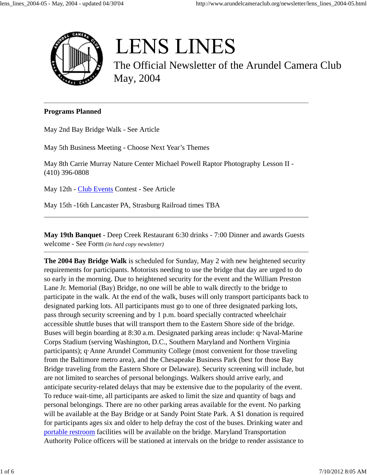

# **LENS LINES**

The Official Newsletter of the Arundel Camera Club May, 2004

#### **Programs Planned**

May 2nd Bay Bridge Walk - See Article

May 5th Business Meeting - Choose Next Year's Themes

May 8th Carrie Murray Nature Center Michael Powell Raptor Photography Lesson II - (410) 396-0808

May 12th - Club Events Contest - See Article

May 15th -16th Lancaster PA, Strasburg Railroad times TBA

**May 19th Banquet** - Deep Creek Restaurant 6:30 drinks - 7:00 Dinner and awards Guests welcome - See Form *(in hard copy newsletter)*

**The 2004 Bay Bridge Walk** is scheduled for Sunday, May 2 with new heightened security requirements for participants. Motorists needing to use the bridge that day are urged to do so early in the morning. Due to heightened security for the event and the William Preston Lane Jr. Memorial (Bay) Bridge, no one will be able to walk directly to the bridge to participate in the walk. At the end of the walk, buses will only transport participants back to designated parking lots. All participants must go to one of three designated parking lots, pass through security screening and by 1 p.m. board specially contracted wheelchair accessible shuttle buses that will transport them to the Eastern Shore side of the bridge. Buses will begin boarding at 8:30 a.m. Designated parking areas include: q·Naval-Marine Corps Stadium (serving Washington, D.C., Southern Maryland and Northern Virginia participants); q·Anne Arundel Community College (most convenient for those traveling from the Baltimore metro area), and the Chesapeake Business Park (best for those Bay Bridge traveling from the Eastern Shore or Delaware). Security screening will include, but are not limited to searches of personal belongings. Walkers should arrive early, and anticipate security-related delays that may be extensive due to the popularity of the event. To reduce wait-time, all participants are asked to limit the size and quantity of bags and personal belongings. There are no other parking areas available for the event. No parking will be available at the Bay Bridge or at Sandy Point State Park. A \$1 donation is required for participants ages six and older to help defray the cost of the buses. Drinking water and portable restroom facilities will be available on the bridge. Maryland Transportation Authority Police officers will be stationed at intervals on the bridge to render assistance to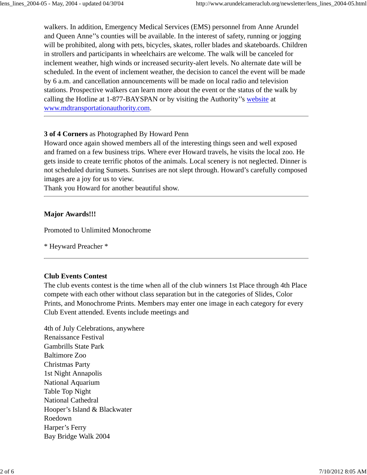walkers. In addition, Emergency Medical Services (EMS) personnel from Anne Arundel and Queen Anne''s counties will be available. In the interest of safety, running or jogging will be prohibited, along with pets, bicycles, skates, roller blades and skateboards. Children in strollers and participants in wheelchairs are welcome. The walk will be canceled for inclement weather, high winds or increased security-alert levels. No alternate date will be scheduled. In the event of inclement weather, the decision to cancel the event will be made by 6 a.m. and cancellation announcements will be made on local radio and television stations. Prospective walkers can learn more about the event or the status of the walk by calling the Hotline at 1-877-BAYSPAN or by visiting the Authority''s website at www.mdtransportationauthority.com.

## **3 of 4 Corners** as Photographed By Howard Penn

Howard once again showed members all of the interesting things seen and well exposed and framed on a few business trips. Where ever Howard travels, he visits the local zoo. He gets inside to create terrific photos of the animals. Local scenery is not neglected. Dinner is not scheduled during Sunsets. Sunrises are not slept through. Howard's carefully composed images are a joy for us to view.

Thank you Howard for another beautiful show.

### **Major Awards!!!**

Promoted to Unlimited Monochrome

\* Heyward Preacher \*

## **Club Events Contest**

The club events contest is the time when all of the club winners 1st Place through 4th Place compete with each other without class separation but in the categories of Slides, Color Prints, and Monochrome Prints. Members may enter one image in each category for every Club Event attended. Events include meetings and

4th of July Celebrations, anywhere Renaissance Festival Gambrills State Park Baltimore Zoo Christmas Party 1st Night Annapolis National Aquarium Table Top Night National Cathedral Hooper's Island & Blackwater Roedown Harper's Ferry Bay Bridge Walk 2004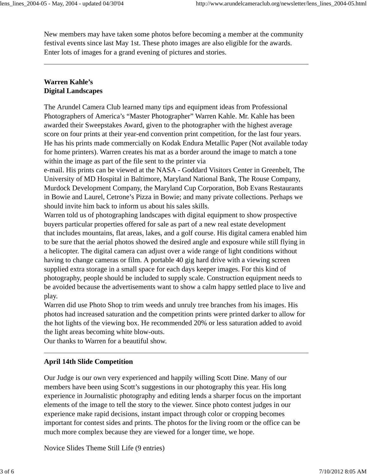New members may have taken some photos before becoming a member at the community festival events since last May 1st. These photo images are also eligible for the awards. Enter lots of images for a grand evening of pictures and stories.

## **Warren Kahle's Digital Landscapes**

The Arundel Camera Club learned many tips and equipment ideas from Professional Photographers of America's "Master Photographer" Warren Kahle. Mr. Kahle has been awarded their Sweepstakes Award, given to the photographer with the highest average score on four prints at their year-end convention print competition, for the last four years. He has his prints made commercially on Kodak Endura Metallic Paper (Not available today for home printers). Warren creates his mat as a border around the image to match a tone within the image as part of the file sent to the printer via

e-mail. His prints can be viewed at the NASA - Goddard Visitors Center in Greenbelt, The University of MD Hospital in Baltimore, Maryland National Bank, The Rouse Company, Murdock Development Company, the Maryland Cup Corporation, Bob Evans Restaurants in Bowie and Laurel, Cetrone's Pizza in Bowie; and many private collections. Perhaps we should invite him back to inform us about his sales skills.

Warren told us of photographing landscapes with digital equipment to show prospective buyers particular properties offered for sale as part of a new real estate development that includes mountains, flat areas, lakes, and a golf course. His digital camera enabled him to be sure that the aerial photos showed the desired angle and exposure while still flying in a helicopter. The digital camera can adjust over a wide range of light conditions without having to change cameras or film. A portable 40 gig hard drive with a viewing screen supplied extra storage in a small space for each days keeper images. For this kind of photography, people should be included to supply scale. Construction equipment needs to be avoided because the advertisements want to show a calm happy settled place to live and play.

Warren did use Photo Shop to trim weeds and unruly tree branches from his images. His photos had increased saturation and the competition prints were printed darker to allow for the hot lights of the viewing box. He recommended 20% or less saturation added to avoid the light areas becoming white blow-outs.

Our thanks to Warren for a beautiful show.

## **April 14th Slide Competition**

Our Judge is our own very experienced and happily willing Scott Dine. Many of our members have been using Scott's suggestions in our photography this year. His long experience in Journalistic photography and editing lends a sharper focus on the important elements of the image to tell the story to the viewer. Since photo contest judges in our experience make rapid decisions, instant impact through color or cropping becomes important for contest sides and prints. The photos for the living room or the office can be much more complex because they are viewed for a longer time, we hope.

Novice Slides Theme Still Life (9 entries)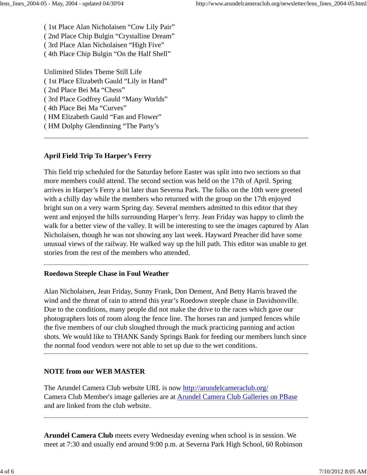( 1st Place Alan Nicholaisen "Cow Lily Pair" ( 2nd Place Chip Bulgin "Crystalline Dream" ( 3rd Place Alan Nicholaisen "High Five" ( 4th Place Chip Bulgin "On the Half Shell"

Unlimited Slides Theme Still Life ( 1st Place Elizabeth Gauld "Lily in Hand" ( 2nd Place Bei Ma "Chess" ( 3rd Place Godfrey Gauld "Many Worlds" ( 4th Place Bei Ma "Curves" ( HM Elizabeth Gauld "Fan and Flower" ( HM Dolphy Glendinning "The Party's

# **April Field Trip To Harper's Ferry**

This field trip scheduled for the Saturday before Easter was split into two sections so that more members could attend. The second section was held on the 17th of April. Spring arrives in Harper's Ferry a bit later than Severna Park. The folks on the 10th were greeted with a chilly day while the members who returned with the group on the 17th enjoyed bright sun on a very warm Spring day. Several members admitted to this editor that they went and enjoyed the hills surrounding Harper's ferry. Jean Friday was happy to climb the walk for a better view of the valley. It will be interesting to see the images captured by Alan Nicholaisen, though he was not showing any last week. Hayward Preacher did have some unusual views of the railway. He walked way up the hill path. This editor was unable to get stories from the rest of the members who attended.

# **Roedown Steeple Chase in Foul Weather**

Alan Nicholaisen, Jean Friday, Sunny Frank, Don Dement, And Betty Harris braved the wind and the threat of rain to attend this year's Roedown steeple chase in Davidsonville. Due to the conditions, many people did not make the drive to the races which gave our photographers lots of room along the fence line. The horses ran and jumped fences while the five members of our club sloughed through the muck practicing panning and action shots. We would like to THANK Sandy Springs Bank for feeding our members lunch since the normal food vendors were not able to set up due to the wet conditions.

# **NOTE from our WEB MASTER**

The Arundel Camera Club website URL is now http://arundelcameraclub.org/ Camera Club Member's image galleries are at Arundel Camera Club Galleries on PBase and are linked from the club website.

**Arundel Camera Club** meets every Wednesday evening when school is in session. We meet at 7:30 and usually end around 9:00 p.m. at Severna Park High School, 60 Robinson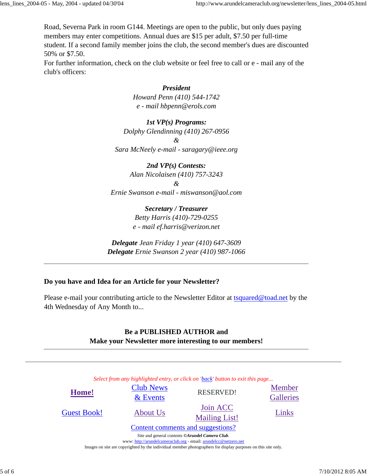Road, Severna Park in room G144. Meetings are open to the public, but only dues paying members may enter competitions. Annual dues are \$15 per adult, \$7.50 per full-time student. If a second family member joins the club, the second member's dues are discounted 50% or \$7.50.

For further information, check on the club website or feel free to call or e - mail any of the club's officers:

## *President*

*Howard Penn (410) 544-1742 e - mail hbpenn@erols.com*

### *1st VP(s) Programs:*

*Dolphy Glendinning (410) 267-0956*

*&*

*Sara McNeely e-mail - saragary@ieee.org*

### *2nd VP(s) Contests:*

*Alan Nicolaisen (410) 757-3243*

*&*

*Ernie Swanson e-mail - miswanson@aol.com*

*Secretary / Treasurer Betty Harris (410)-729-0255 e - mail ef.harris@verizon.net*

*Delegate Jean Friday 1 year (410) 647-3609 Delegate Ernie Swanson 2 year (410) 987-1066*

## **Do you have and Idea for an Article for your Newsletter?**

Please e-mail your contributing article to the Newsletter Editor at tsquared@toad.net by the 4th Wednesday of Any Month to...

## **Be a PUBLISHED AUTHOR and Make your Newsletter more interesting to our members!**

*Select from any highlighted entry, or click on 'back' button to exit this page...* Content comments and suggestions? **Home!**<br>Events Exercise Events<br>Experience RESERVED!<br>Example: Calleries **Galleries** Guest Book!  $\Delta$  About Us  $\frac{\text{Join ACC}}{\text{sim ACC}}$ Mailing List! Links Site and general contents *©Arundel Camera Club*.

www: http://arundelcameraclub.org - email: arundelcc@netzero.net

Images on site are copyrighted by the individual member photographers for display purposes on this site only.